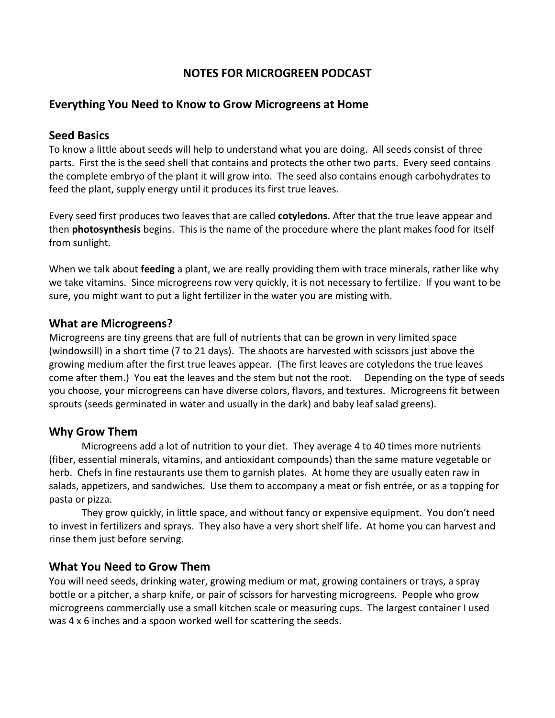# **NOTES FOR MICROGREEN PODCAST**

## **Everything You Need to Know to Grow Microgreens at Home**

### **Seed Basics**

To know a little about seeds will help to understand what you are doing. All seeds consist of three parts. First the is the seed shell that contains and protects the other two parts. Every seed contains the complete embryo of the plant it will grow into. The seed also contains enough carbohydrates to feed the plant, supply energy until it produces its first true leaves.

Every seed first produces two leaves that are called **cotyledons.** After that the true leave appear and then **photosynthesis** begins. This is the name of the procedure where the plant makes food for itself from sunlight.

When we talk about **feeding** a plant, we are really providing them with trace minerals, rather like why we take vitamins. Since microgreens row very quickly, it is not necessary to fertilize. If you want to be sure, you might want to put a light fertilizer in the water you are misting with.

#### **What are Microgreens?**

Microgreens are tiny greens that are full of nutrients that can be grown in very limited space (windowsill) in a short time (7 to 21 days). The shoots are harvested with scissors just above the growing medium after the first true leaves appear. (The first leaves are cotyledons the true leaves come after them.) You eat the leaves and the stem but not the root. Depending on the type of seeds you choose, your microgreens can have diverse colors, flavors, and textures. Microgreens fit between sprouts (seeds germinated in water and usually in the dark) and baby leaf salad greens).

### **Why Grow Them**

Microgreens add a lot of nutrition to your diet. They average 4 to 40 times more nutrients (fiber, essential minerals, vitamins, and antioxidant compounds) than the same mature vegetable or herb. Chefs in fine restaurants use them to garnish plates. At home they are usually eaten raw in salads, appetizers, and sandwiches. Use them to accompany a meat or fish entrée, or as a topping for pasta or pizza.

They grow quickly, in little space, and without fancy or expensive equipment. You don't need to invest in fertilizers and sprays. They also have a very short shelf life. At home you can harvest and rinse them just before serving.

### **What You Need to Grow Them**

You will need seeds, drinking water, growing medium or mat, growing containers or trays, a spray bottle or a pitcher, a sharp knife, or pair of scissors for harvesting microgreens. People who grow microgreens commercially use a small kitchen scale or measuring cups. The largest container I used was 4 x 6 inches and a spoon worked well for scattering the seeds.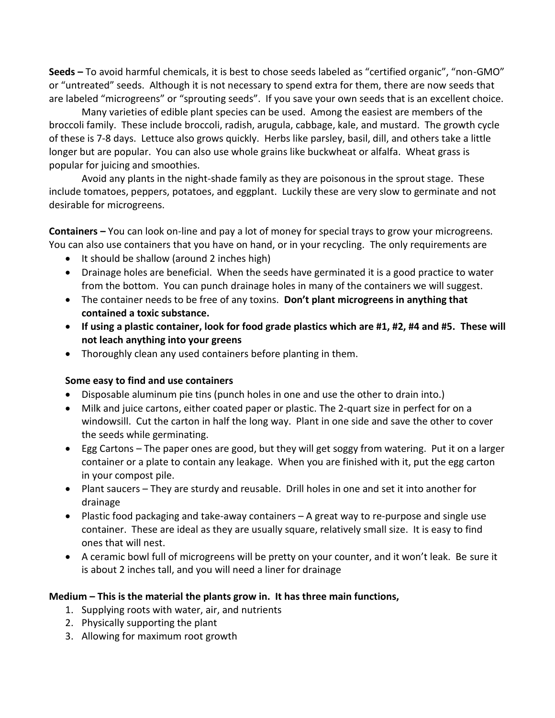**Seeds –** To avoid harmful chemicals, it is best to chose seeds labeled as "certified organic", "non-GMO" or "untreated" seeds. Although it is not necessary to spend extra for them, there are now seeds that are labeled "microgreens" or "sprouting seeds". If you save your own seeds that is an excellent choice.

Many varieties of edible plant species can be used. Among the easiest are members of the broccoli family. These include broccoli, radish, arugula, cabbage, kale, and mustard. The growth cycle of these is 7-8 days. Lettuce also grows quickly. Herbs like parsley, basil, dill, and others take a little longer but are popular. You can also use whole grains like buckwheat or alfalfa. Wheat grass is popular for juicing and smoothies.

Avoid any plants in the night-shade family as they are poisonous in the sprout stage. These include tomatoes, peppers, potatoes, and eggplant. Luckily these are very slow to germinate and not desirable for microgreens.

**Containers –** You can look on-line and pay a lot of money for special trays to grow your microgreens. You can also use containers that you have on hand, or in your recycling. The only requirements are

- It should be shallow (around 2 inches high)
- Drainage holes are beneficial. When the seeds have germinated it is a good practice to water from the bottom. You can punch drainage holes in many of the containers we will suggest.
- The container needs to be free of any toxins. **Don't plant microgreens in anything that contained a toxic substance.**
- **If using a plastic container, look for food grade plastics which are #1, #2, #4 and #5. These will not leach anything into your greens**
- Thoroughly clean any used containers before planting in them.

#### **Some easy to find and use containers**

- Disposable aluminum pie tins (punch holes in one and use the other to drain into.)
- Milk and juice cartons, either coated paper or plastic. The 2-quart size in perfect for on a windowsill. Cut the carton in half the long way. Plant in one side and save the other to cover the seeds while germinating.
- Egg Cartons The paper ones are good, but they will get soggy from watering. Put it on a larger container or a plate to contain any leakage. When you are finished with it, put the egg carton in your compost pile.
- Plant saucers They are sturdy and reusable. Drill holes in one and set it into another for drainage
- Plastic food packaging and take-away containers A great way to re-purpose and single use container. These are ideal as they are usually square, relatively small size. It is easy to find ones that will nest.
- A ceramic bowl full of microgreens will be pretty on your counter, and it won't leak. Be sure it is about 2 inches tall, and you will need a liner for drainage

### **Medium – This is the material the plants grow in. It has three main functions,**

- 1. Supplying roots with water, air, and nutrients
- 2. Physically supporting the plant
- 3. Allowing for maximum root growth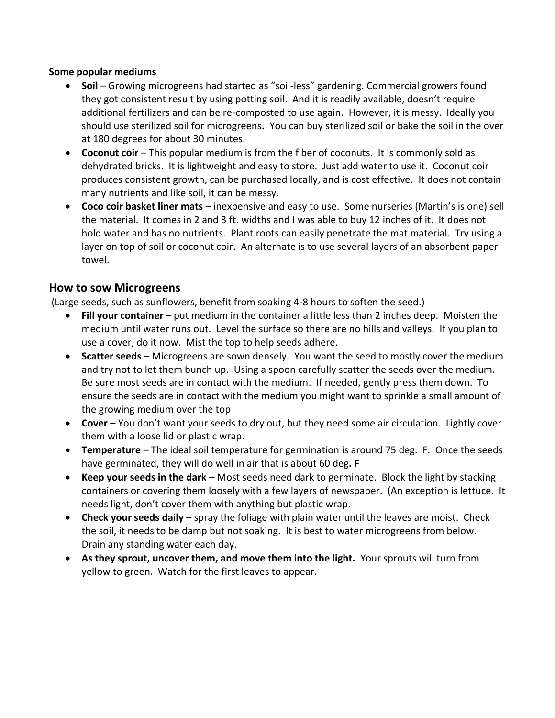#### **Some popular mediums**

- **Soil** Growing microgreens had started as "soil-less" gardening. Commercial growers found they got consistent result by using potting soil. And it is readily available, doesn't require additional fertilizers and can be re-composted to use again. However, it is messy. Ideally you should use sterilized soil for microgreens**.** You can buy sterilized soil or bake the soil in the over at 180 degrees for about 30 minutes.
- **Coconut coir**  This popular medium is from the fiber of coconuts. It is commonly sold as dehydrated bricks. It is lightweight and easy to store. Just add water to use it. Coconut coir produces consistent growth, can be purchased locally, and is cost effective. It does not contain many nutrients and like soil, it can be messy.
- **Coco coir basket liner mats –** inexpensive and easy to use. Some nurseries (Martin's is one) sell the material. It comes in 2 and 3 ft. widths and I was able to buy 12 inches of it. It does not hold water and has no nutrients. Plant roots can easily penetrate the mat material. Try using a layer on top of soil or coconut coir. An alternate is to use several layers of an absorbent paper towel.

## **How to sow Microgreens**

(Large seeds, such as sunflowers, benefit from soaking 4-8 hours to soften the seed.)

- **Fill your container** put medium in the container a little less than 2 inches deep. Moisten the medium until water runs out. Level the surface so there are no hills and valleys. If you plan to use a cover, do it now. Mist the top to help seeds adhere.
- **Scatter seeds** Microgreens are sown densely. You want the seed to mostly cover the medium and try not to let them bunch up. Using a spoon carefully scatter the seeds over the medium. Be sure most seeds are in contact with the medium. If needed, gently press them down. To ensure the seeds are in contact with the medium you might want to sprinkle a small amount of the growing medium over the top
- **Cover**  You don't want your seeds to dry out, but they need some air circulation. Lightly cover them with a loose lid or plastic wrap.
- **Temperature**  The ideal soil temperature for germination is around 75 deg. F. Once the seeds have germinated, they will do well in air that is about 60 deg**. F**
- **Keep your seeds in the dark** Most seeds need dark to germinate. Block the light by stacking containers or covering them loosely with a few layers of newspaper. (An exception is lettuce. It needs light, don't cover them with anything but plastic wrap.
- **Check your seeds daily** spray the foliage with plain water until the leaves are moist. Check the soil, it needs to be damp but not soaking. It is best to water microgreens from below. Drain any standing water each day.
- **As they sprout, uncover them, and move them into the light.** Your sprouts will turn from yellow to green. Watch for the first leaves to appear.